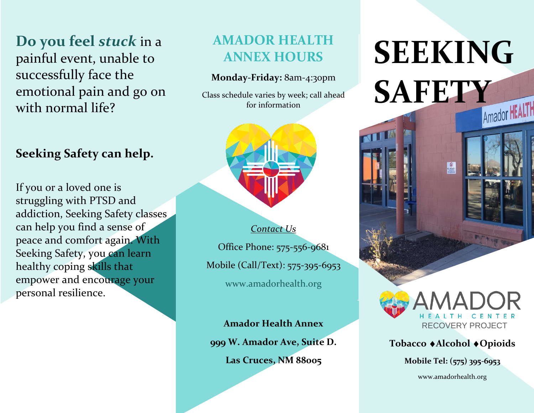**Do you feel** *stuck* in a painful event, unable to successfully face the emotional pain and go on with normal life?

### **Seeking Safety can help.**

If you or a loved one is struggling with PTSD and addiction, Seeking Safety classes can help you find a sense of peace and comfort again. With Seeking Safety, you can learn healthy coping skills that empower and encourage your personal resilience.

## **AMADOR HEALTH ANNEX HOURS**

### **Monday-Friday:** 8am-4:30pm

Class schedule varies by week; call ahead for information



#### *Contact Us*

Office Phone: 575-556-9681 Mobile (Call/Text): 575-395-6953 [www.amadorhealth.org](http://www.amadorhealth.org/)

**Amador Health Annex 999 W. Amador Ave, Suite D.**

**Las Cruces, NM 88005**

# **SEEKING**  SAFETY



RECOVERY PROJECT

**Mobile Tel: (575) 395-6953**

www.amadorhealth.org